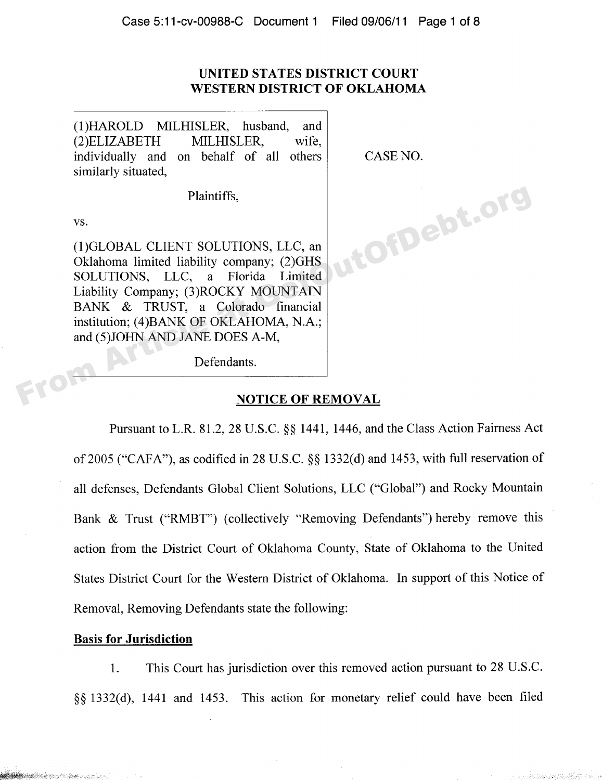### **UNITED STATES DISTRICT COURT WESTERN DISTRICT OF OKLAHOMA**

(1)HAROLD MILHISLER, husband, and  $(2)ELIZABETH$  MILHISLER, wife. individually and on behalf of all others CASE NO. similarly situated,

Plaintiffs,

vs.

(1)GLOBAL CLIENT SOLUTIONS, LLC, an Oklahoma limited liability company; (2)GHS SOLUTIONS, LLC, a Florida Limited Liability Company; (3)ROCKY MOUNTAIN BANK & TRUST, a Colorado financial institution; (4)BANK OF OKLAHOMA, N.A.; and (5) JOHN AND JANE DOES A-M, (1)GLOBAL CLIENT SOLUTIONS, LLC, and Oklahoma limited liability company; (2)GHS SOLUTIONS, LLC, and From Article Liability Company; (3)ROCKY MOUNTAIN BANK & TRUST, and Colorado financial institution; (4)BANK OF OKLAHOMA, N

Defendants.

#### **NOTICE OF REMOVAL**

Pursuant to L.R.  $81.2$ ,  $28$  U.S.C.  $\S$  $\S$  1441, 1446, and the Class Action Fairness Act of 2005 ("CAFA"), as codified in 28 U.S.C. \$\$ 1332(d) and 1453, with full reservation of all defenses, Defendants Global Client Solutions, LLC ("Global") and Rocky Mountain Bank & Trust ("RMBT") (collectively "Removing Defendants") hereby remove this action from the District Court of Oklahoma County, State of Oklahoma to the United States District Court for the Western District of Oklahoma. In support of this Notice of Removal, Removing Defendants state the following:

#### **Basis for Jurisdiction**

**Station of the Community of the Community** 

1. This Court has jurisdiction over this removed action pursuant to 28 U.S.C. \$\$ 1332(d), 1441 and 1453. This action for monetary relief could have been filed

2. Contact Police of Light Property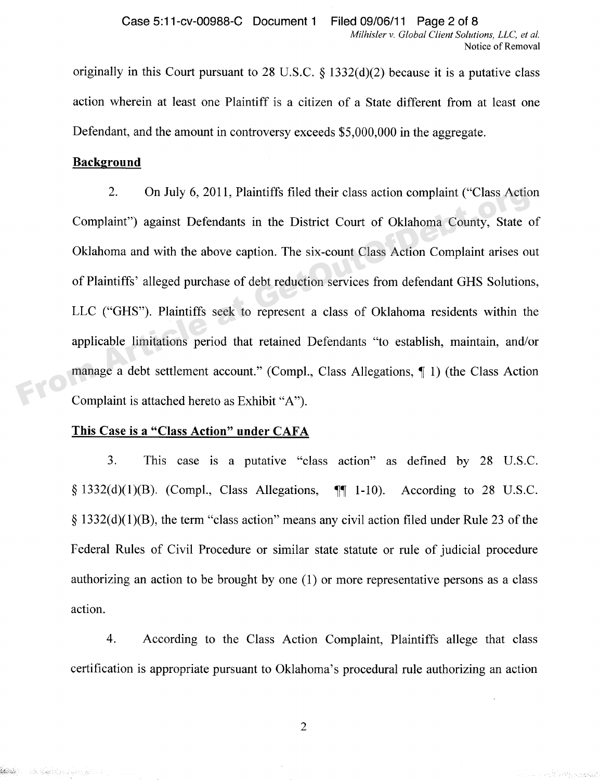originally in this Court pursuant to 28 U.S.C.  $\S$  1332(d)(2) because it is a putative class action wherein at least one Plaintiff is a citizen of a State different from at least one Defendant, and the amount in controversy exceeds \$5,000,000 in the aggregate.

#### **Background**

**South Commissions** of the commission

2. On July 6, 2011, Plaintiffs filed their class action complaint ("Class Action" Complaint") against Defendants in the District Court of Oklahoma County, State of Oklahoma and with the above caption. The six-count Class Action Complaint arises out of Plaintiffs' alleged purchase of debt reduction services from defendant GHS Solutions, LLC ("GHS"). Plaintiffs seek to represent a class of Oklahoma residents within the applicable limitations period that retained Defendants "to establish, maintain, and/or manage a debt settlement account." (Compl., Class Allegations, 1) (the Class Action Complaint is attached hereto as Exhibit "A"). 2. On July 6, 2011, Plaintiff's filed their class action complaint ("Class Action") against Defendants in the District Court of Oklahoma County, State of Oklahoma and with the above caption. The six-count Class Action Comp

#### **This Case is a "Class Action" under CAFA**

3. This case is a putative "class action" as defined by 28 U.S.C.  $\S$  1332(d)(1)(B). (Compl., Class Allegations,  $\P$  1-10). According to 28 U.S.C.  $\S$  1332(d)(1)(B), the term "class action" means any civil action filed under Rule 23 of the Federal Rules of Civil Procedure or similar state statute or rule of judicial procedure authorizing an action to be brought by one (1) or more representative persons as a class action.

4. According to the Class Action Complaint, Plaintiffs allege that class certification is appropriate pursuant to Oklahoma's procedural rule authorizing an action

 $\overline{2}$ 

بكفوين وبمحمد كالبرد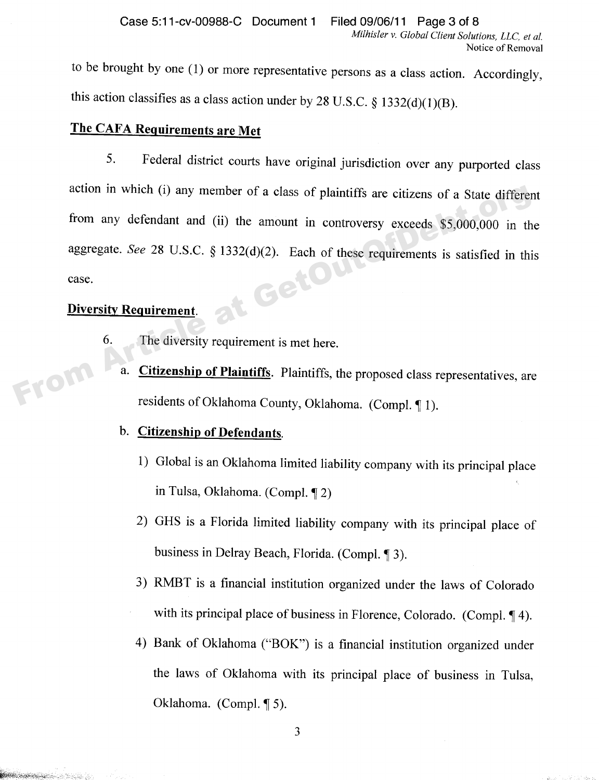to be brought by one (1) or more representative persons as a class action. Accordingly, this action classifies as a class action under by 28 U.S.C.  $\S$  1332(d)(1)(B).

# **The CAFA Requirements are Met**

5. Federal district courts have original jurisdiction over any purported class action in which (i) any member of a class of plaintiffs are citizens of a State different from any defendant and (ii) the amount in controversy exceeds \$5,000,000 in the aggregate. See 28 U.S.C. § 1332(d)(2). Each of these requirements is satisfied in this case.<br>Diversity Requirement. case. action in which (i) any member of a class of plaintiffs are citizens of a State differer<br>from any defendant and (ii) the amount in controversy exceeds \$5,000,000 in th<br>aggregate. See 28 U.S.C. § 1332(d)(2). Each of these r

# **Diversity Requirement.**

**Participate of the Contract of the Contract of the Contract of the Contract of the Contract of the Contract of** 

- 6. The diversity requirement is met here.
	- a. **Citizenship of Plaintiffs**. Plaintiffs, the proposed class representatives, are residents of Oklahoma County, Oklahoma. (Compl. 1).

#### b. **Citizenship of Defendants.**

- 1) Global is an Oklahoma limited liability company with its principal place in Tulsa, Oklahoma. (Compl. 12)
- 2) GHS is a Florida limited liability company with its principal place of business in Delray Beach, Florida. (Compl. 13).
- 3) RMBT is a financial institution organized under the laws of Colorado with its principal place of business in Florence, Colorado. (Compl.  $\P$ 4).
- 4) Bank of Oklahoma ("BOK") is a financial institution organized under the laws of Oklahoma with its principal place of business in Tulsa, Oklahoma. (Compl.  $\P$  5).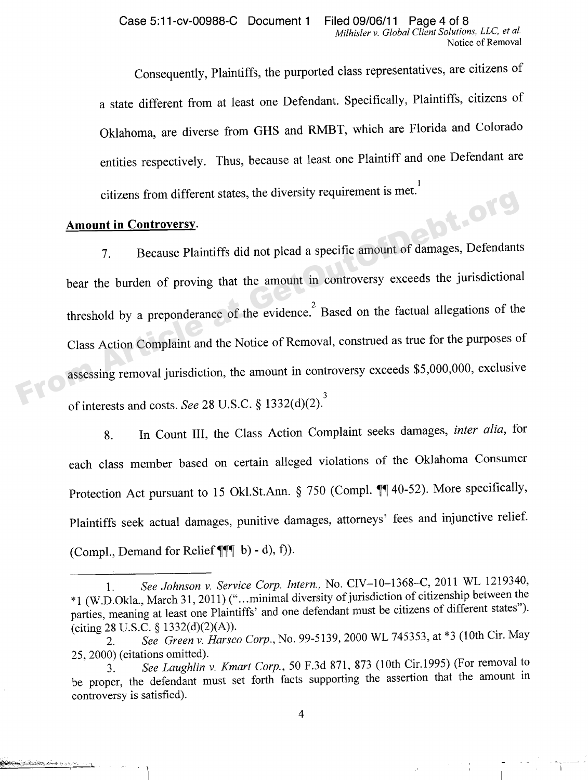Consequently, Plaintiffs, the purported class representatives, are citizens of a state different from at least one Defendant. Specifically, Plaintiffs, citizens of Oklahoma, are diverse from GHS and RMBT, which are Florida and Colorado entities respectively. Thus, because at least one Plaintiff and one Defendant are 1 citizens from different states, the diversity requirement is met.

#### **Amount in Controvers**

وبروا بمناسبهم والأبال والمتوار والمترا

7. Because Plaintiffs did not plead a specific amount of damages, Defendants bear the burden of proving that the amount in controversy exceeds the jurisdictional threshold by a preponderance of the evidence. Based on the factual allegations of the 2 Class Action Complaint and the Notice of Removal, construed as true for the purposes of assessing removal jurisdiction, the amount in controversy exceeds \$5,000,000, exclusive 3 of interests and costs. See 28 U.S.C.  $\S 1332(a)(2)$ . citizens from different states, the diversity requirement is mc.<br> **Amount in Controversy**.<br>
7. Because Plaintiffs did not plead a specific amount of damages, Defendants<br>
bear the burden of proving that the amount in contr

> 8. In Count III, the Class Action Complaint seeks damages, *inter alia*, for each class member based on certain alleged violations of the Oklahoma Consumer Protection Act pursuant to 15 Okl.St.Ann.  $\S$  750 (Compl.  $\P\P$  40-52). More specifically, Plaintiffs seek actual damages, punitive damages, attorneys' fees and injunctive relief. (Compl., Demand for Relief  $\P\P\P$  b) - d), f)).

<sup>1.</sup> See *Johnson v. Service Corp. Intern.*, No. CIV-10-1368-C, 2011 WL 1219340, "1 (W.D.Okla., March 31, 2011) ("...minimal diversity of jurisdiction of citizenship between the parties, meaning at least one Plaintiffs' and one defendant must be citizens of different states"). (citing 28 U.S.C. \$ 1332(d)(2)(A)).

<sup>2.</sup> See *Green v. Harsco Corp.*, No. 99-5139, 2000 WL 745353, at \*3 (10th Cir. May 25, 2000) (citations omitted).

<sup>3.</sup> See *La ughlin* v. *Kmart Corp., 50* F.3d 871, 873 (10th Cir.1995) (For removal to be proper, the defendant must set forth facts supporting the assertion that the amount in controversy is satisfied).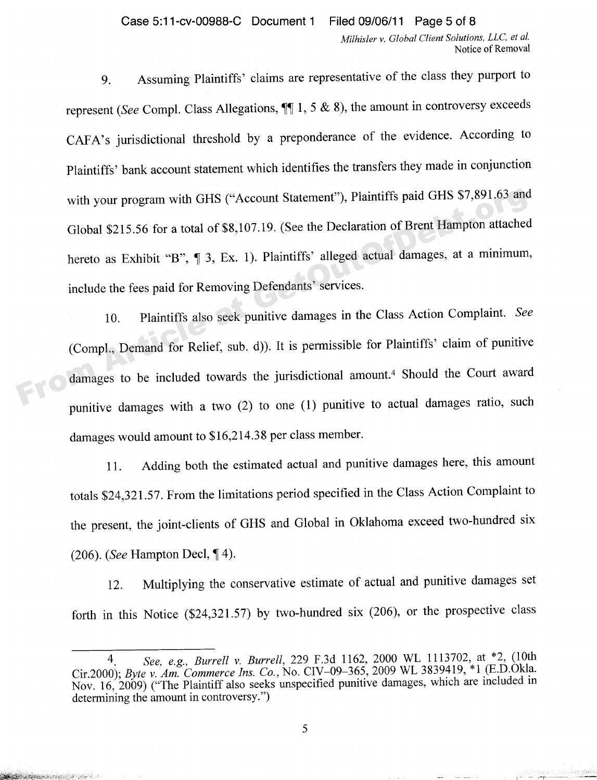9. Assuming Plaintiffs' claims are representative of the class they purport to represent (See Compl. Class Allegations,  $\P\P$  1, 5 & 8), the amount in controversy exceeds CAFA's jurisdictional threshold by a preponderance of the evidence. According to Plaintiffs' bank account statement which identifies the transfers they made in conjunction with your program with GHS ("Account Statement"), Plaintiffs paid GHS \$7,891.63 and Global \$215.56 for a total of \$8,107.19. (See the Declaration of Brent Hampton attached hereto as Exhibit "B",  $\P$  3, Ex. 1). Plaintiffs' alleged actual damages, at a minimum, include the fees paid for Removing Defendants' services. with your program with GHS ("Account Statement"), Plaintiffs paid GHS \$7,891.63 and<br>Global \$215.56 for a total of \$8,107.19. (See the Declaration of Brent Hampton attached<br>hereto as Exhibit "B", ¶ 3, Ex. 1). Plaintiffs' al

10. Plaintiffs also seek punitive damages in the Class Action Complaint. See (Compl., Demand for Relief, sub. d)). It is permissible for Plaintiffs' claim of punitive damages to be included towards the jurisdictional amount.4 Should the Court award punitive damages with a two (2) to one (1) punitive to actual damages ratio, such damages would amount to \$16,214.38 per class member.

11. Adding both the estimated actual and punitive damages here, this amount totals \$24,321.57. From the limitations period specified in the Class Action Complaint to the present, the joint-clients of GHS and Global in Oklahoma exceed two-hundred six  $(206)$ . (See Hampton Decl,  $\P$ 4).

12. Multiplying the conservative estimate of actual and punitive damages set forth in this Notice (\$24,321.57) by two-hundred six (206), or the prospective class

**Sandard Communication of the Second Communication** 

a porta programación por

*See, e.g., Burrell* v. *Burrell,* 229 F.3d 1162, 2000 WL 1113702, at \*2, (10th  $\overline{4}$ Cir.2000); *Byte* v. Am. *Commerce Ins. Co.,* No. CIV — 09 — 365, 2009 WL 3839419, \*1 (E.D.Okla. Nov. 16, 2009) ("The Plaintiff also seeks unspecified punitive damages, which are included in determining the amount in controversy.")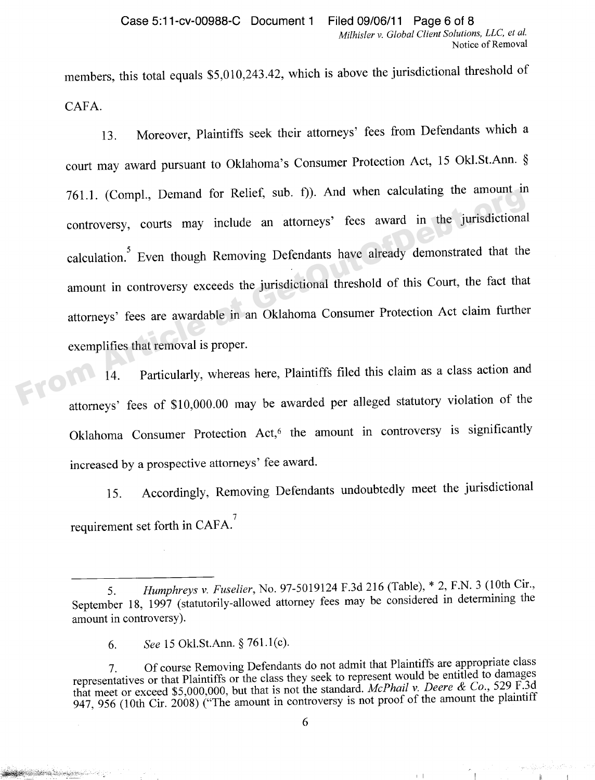members, this total equals \$5,010,243.42, which is above the jurisdictional threshold of CAFA.

13. Moreover, Plaintiffs seek their attorneys' fees from Defendants which a court may award pursuant to Oklahoma's Consumer Protection Act, 15 Okl.St.Ann. § 761.1. (Compl., Demand for Relief, sub. f)). And when calculating the amount in controversy, courts may include an attorneys' fees award in the jurisdictional calculation.<sup>5</sup> Even though Removing Defendants have already demonstrated that the amount in controversy exceeds the jurisdictional threshold of this Court, the fact that attorneys' fees are awardable in an Oklahoma Consumer Protection Act claim further exemplifies that removal is proper. 761.1. (Compl., Demand for Relief, sub. 1)). And when calculating the amount in<br>controversy, courts may include an attorneys' fees award in the jurisdictional<br>calculation.<sup>5</sup> Even though Removing Defendants have already de

14. Particularly, whereas here, Plaintiffs filed this claim as a class action and attorneys' fees of \$10,000.00 may be awarded per alleged statutory violation of the Oklahoma Consumer Protection Act,<sup>6</sup> the amount in controversy is significantly increased by a prospective attorneys' fee award.

> 15. Accordingly, Removing Defendants undoubtedly meet the jurisdictional 7 requirement set forth in CAFA.

**Service Street (Service** 

 $\vert \cdot \vert$ 

 $\mathbf{r}$ 

*<sup>5.</sup> Hump hreys* v. *Fuselier,* No. 97-5019124 F.3d 216 (Table), \* 2, F.N. 3 (10th Cir., September 18, 1997 (statutorily-allowed attorney fees may be considered in determining the amount in controversy).

<sup>6.</sup> See 15 Okl.St.Ann. \$ 761.1(c).

<sup>7.</sup> Of course Removing Defendants do not admit that Plaintiffs are appropriate class representatives or that Plaintiffs or the class they seek to represent would be entitled to damages that meet or exceed \$5,000,000, but that is not the standard. *McPhail* v. *Deere k Co.,* 529 F.3d 947, 956 (10th Cir. 2008) ("The amount in controversy is not proof of the amount the plaintiff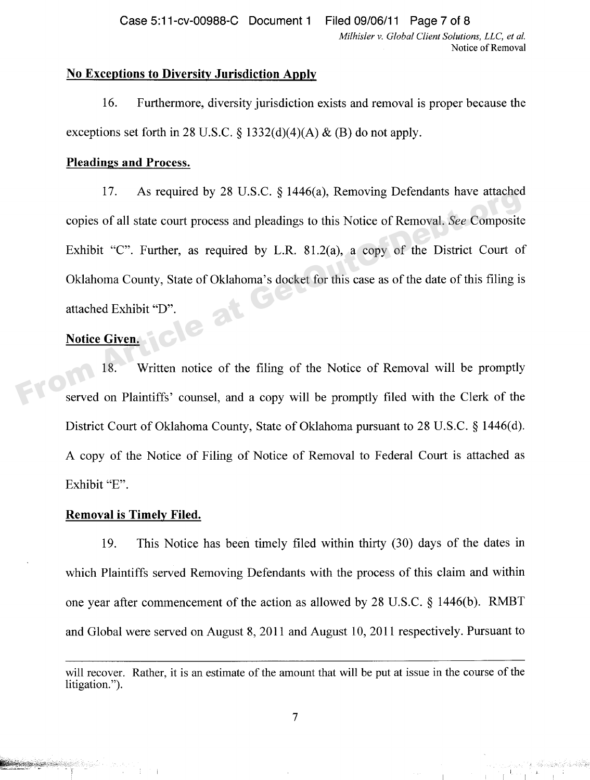Case 5:11-cv-00988-C Document 1 Filed 09/06/11 Page 7 of 8

*Milhisler* v. *Global Client Solutions, LLC, et al.* Notice of Removal

#### **No Exceptions to Diversity Jurisdiction Apply**

16. Furthermore, diversity jurisdiction exists and removal is proper because the exceptions set forth in 28 U.S.C.  $\S$  1332(d)(4)(A) & (B) do not apply.

#### **Pleadings and Process.**

17. As required by 28 U.S.C.  $\frac{1446(a)}{a}$ , Removing Defendants have attached copies of all state court process and pleadings to this Notice of Removal. See Composite Exhibit "C". Further, as required by L.R. 81.2(a), a copy of the District Court of Oklahoma County, State of Oklahoma's docket for this case as of the date of this filing is attached Exhibit "D".<br>Notice C' The Article at Article at Article at Article at Article at Article at Article at Article at Article at Article at Article at Article at Article at Article at GetOmposite Exhibit "C". Further, as required by L.R. 81.2(a), a

# **Notice Given.**

18. Written notice of the filing of the Notice of Removal will be promptly served on Plaintiffs' counsel, and a copy will be promptly filed with the Clerk of the District Court of Oklahoma County, State of Oklahoma pursuant to 28 U.S.C. § 1446(d). A copy of the Notice of Filing of Notice of Removal to Federal Court is attached as Exhibit "E".

#### **Removal is Timely Filed.**

19. This Notice has been timely filed within thirty (30) days of the dates in which Plaintiffs served Removing Defendants with the process of this claim and within one year after commencement of the action as allowed by 28 U.S.C. \$ 1446(b). RMBT and Global were served on August 8, 2011 and August 10, 2011 respectively. Pursuant to

will recover. Rather, it is an estimate of the amount that will be put at issue in the course of the litigation.").